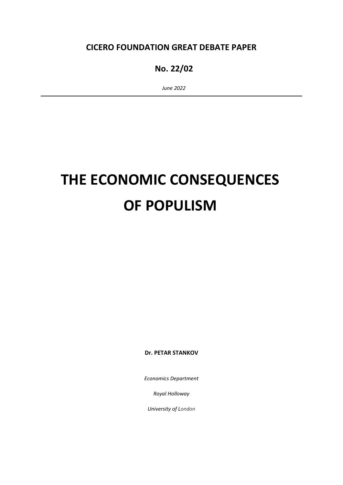# **CICERO FOUNDATION GREAT DEBATE PAPER**

# **No. 22/02**

 *June 2022*

# **THE ECONOMIC CONSEQUENCES OF POPULISM**

**Dr. PETAR STANKOV**

*Economics Department*

*Royal Holloway*

*University of London*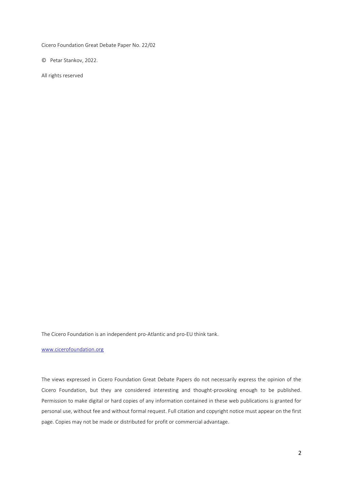Cicero Foundation Great Debate Paper No. 22/02

© Petar Stankov, 2022.

All rights reserved

The Cicero Foundation is an independent pro-Atlantic and pro-EU think tank.

[www.cicerofoundation.org](http://www.cicerofoundation.org/)

The views expressed in Cicero Foundation Great Debate Papers do not necessarily express the opinion of the Cicero Foundation, but they are considered interesting and thought-provoking enough to be published. Permission to make digital or hard copies of any information contained in these web publications is granted for personal use, without fee and without formal request. Full citation and copyright notice must appear on the first page. Copies may not be made or distributed for profit or commercial advantage.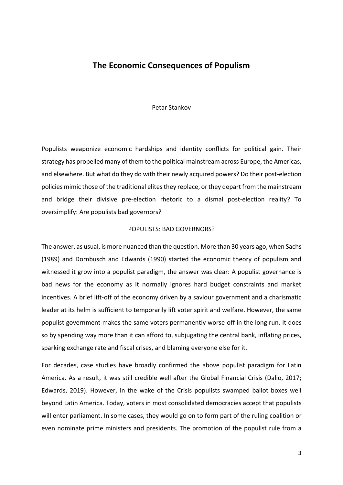### **The Economic Consequences of Populism**

#### Petar Stankov

Populists weaponize economic hardships and identity conflicts for political gain. Their strategy has propelled many of them to the political mainstream across Europe, the Americas, and elsewhere. But what do they do with their newly acquired powers? Do their post-election policies mimic those of the traditional elites they replace, or they depart from the mainstream and bridge their divisive pre-election rhetoric to a dismal post-election reality? To oversimplify: Are populists bad governors?

#### POPULISTS: BAD GOVERNORS?

The answer, as usual, is more nuanced than the question. More than 30 years ago, when Sachs (1989) and Dornbusch and Edwards (1990) started the economic theory of populism and witnessed it grow into a populist paradigm, the answer was clear: A populist governance is bad news for the economy as it normally ignores hard budget constraints and market incentives. A brief lift-off of the economy driven by a saviour government and a charismatic leader at its helm is sufficient to temporarily lift voter spirit and welfare. However, the same populist government makes the same voters permanently worse-off in the long run. It does so by spending way more than it can afford to, subjugating the central bank, inflating prices, sparking exchange rate and fiscal crises, and blaming everyone else for it.

For decades, case studies have broadly confirmed the above populist paradigm for Latin America. As a result, it was still credible well after the Global Financial Crisis (Dalio, 2017; Edwards, 2019). However, in the wake of the Crisis populists swamped ballot boxes well beyond Latin America. Today, voters in most consolidated democracies accept that populists will enter parliament. In some cases, they would go on to form part of the ruling coalition or even nominate prime ministers and presidents. The promotion of the populist rule from a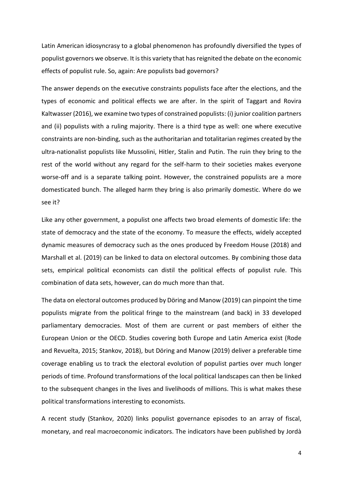Latin American idiosyncrasy to a global phenomenon has profoundly diversified the types of populist governors we observe. It is this variety that hasreignited the debate on the economic effects of populist rule. So, again: Are populists bad governors?

The answer depends on the executive constraints populists face after the elections, and the types of economic and political effects we are after. In the spirit of Taggart and Rovira Kaltwasser (2016), we examine two types of constrained populists: (i) junior coalition partners and (ii) populists with a ruling majority. There is a third type as well: one where executive constraints are non-binding, such as the authoritarian and totalitarian regimes created by the ultra-nationalist populists like Mussolini, Hitler, Stalin and Putin. The ruin they bring to the rest of the world without any regard for the self-harm to their societies makes everyone worse-off and is a separate talking point. However, the constrained populists are a more domesticated bunch. The alleged harm they bring is also primarily domestic. Where do we see it?

Like any other government, a populist one affects two broad elements of domestic life: the state of democracy and the state of the economy. To measure the effects, widely accepted dynamic measures of democracy such as the ones produced by Freedom House (2018) and Marshall et al. (2019) can be linked to data on electoral outcomes. By combining those data sets, empirical political economists can distil the political effects of populist rule. This combination of data sets, however, can do much more than that.

The data on electoral outcomes produced by Döring and Manow (2019) can pinpoint the time populists migrate from the political fringe to the mainstream (and back) in 33 developed parliamentary democracies. Most of them are current or past members of either the European Union or the OECD. Studies covering both Europe and Latin America exist (Rode and Revuelta, 2015; Stankov, 2018), but Döring and Manow (2019) deliver a preferable time coverage enabling us to track the electoral evolution of populist parties over much longer periods of time. Profound transformations of the local political landscapes can then be linked to the subsequent changes in the lives and livelihoods of millions. This is what makes these political transformations interesting to economists.

A recent study (Stankov, 2020) links populist governance episodes to an array of fiscal, monetary, and real macroeconomic indicators. The indicators have been published by Jordà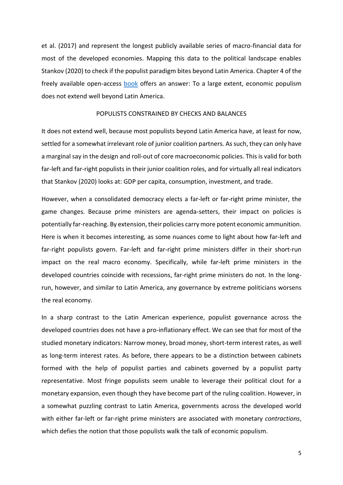et al. (2017) and represent the longest publicly available series of macro-financial data for most of the developed economies. Mapping this data to the political landscape enables Stankov (2020) to check if the populist paradigm bites beyond Latin America. Chapter 4 of the freely available open-access [book](https://doi.org/10.4324/9780429355691) offers an answer: To a large extent, economic populism does not extend well beyond Latin America.

#### POPULISTS CONSTRAINED BY CHECKS AND BALANCES

It does not extend well, because most populists beyond Latin America have, at least for now, settled for a somewhat irrelevant role of junior coalition partners. As such, they can only have a marginal say in the design and roll-out of core macroeconomic policies. This is valid for both far-left and far-right populists in their junior coalition roles, and for virtually all real indicators that Stankov (2020) looks at: GDP per capita, consumption, investment, and trade.

However, when a consolidated democracy elects a far-left or far-right prime minister, the game changes. Because prime ministers are agenda-setters, their impact on policies is potentially far-reaching. By extension, their policies carry more potent economic ammunition. Here is when it becomes interesting, as some nuances come to light about how far-left and far-right populists govern. Far-left and far-right prime ministers differ in their short-run impact on the real macro economy. Specifically, while far-left prime ministers in the developed countries coincide with recessions, far-right prime ministers do not. In the longrun, however, and similar to Latin America, any governance by extreme politicians worsens the real economy.

In a sharp contrast to the Latin American experience, populist governance across the developed countries does not have a pro-inflationary effect. We can see that for most of the studied monetary indicators: Narrow money, broad money, short-term interest rates, as well as long-term interest rates. As before, there appears to be a distinction between cabinets formed with the help of populist parties and cabinets governed by a populist party representative. Most fringe populists seem unable to leverage their political clout for a monetary expansion, even though they have become part of the ruling coalition. However, in a somewhat puzzling contrast to Latin America, governments across the developed world with either far-left or far-right prime ministers are associated with monetary *contractions*, which defies the notion that those populists walk the talk of economic populism.

5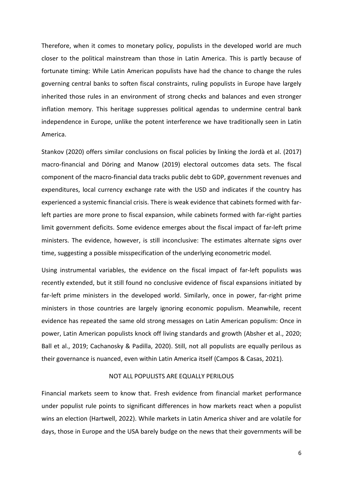Therefore, when it comes to monetary policy, populists in the developed world are much closer to the political mainstream than those in Latin America. This is partly because of fortunate timing: While Latin American populists have had the chance to change the rules governing central banks to soften fiscal constraints, ruling populists in Europe have largely inherited those rules in an environment of strong checks and balances and even stronger inflation memory. This heritage suppresses political agendas to undermine central bank independence in Europe, unlike the potent interference we have traditionally seen in Latin America.

Stankov (2020) offers similar conclusions on fiscal policies by linking the Jordà et al. (2017) macro-financial and Döring and Manow (2019) electoral outcomes data sets. The fiscal component of the macro-financial data tracks public debt to GDP, government revenues and expenditures, local currency exchange rate with the USD and indicates if the country has experienced a systemic financial crisis. There is weak evidence that cabinets formed with farleft parties are more prone to fiscal expansion, while cabinets formed with far-right parties limit government deficits. Some evidence emerges about the fiscal impact of far-left prime ministers. The evidence, however, is still inconclusive: The estimates alternate signs over time, suggesting a possible misspecification of the underlying econometric model.

Using instrumental variables, the evidence on the fiscal impact of far-left populists was recently extended, but it still found no conclusive evidence of fiscal expansions initiated by far-left prime ministers in the developed world. Similarly, once in power, far-right prime ministers in those countries are largely ignoring economic populism. Meanwhile, recent evidence has repeated the same old strong messages on Latin American populism: Once in power, Latin American populists knock off living standards and growth (Absher et al., 2020; Ball et al., 2019; Cachanosky & Padilla, 2020). Still, not all populists are equally perilous as their governance is nuanced, even within Latin America itself (Campos & Casas, 2021).

#### NOT ALL POPULISTS ARE EQUALLY PERILOUS

Financial markets seem to know that. Fresh evidence from financial market performance under populist rule points to significant differences in how markets react when a populist wins an election (Hartwell, 2022). While markets in Latin America shiver and are volatile for days, those in Europe and the USA barely budge on the news that their governments will be

6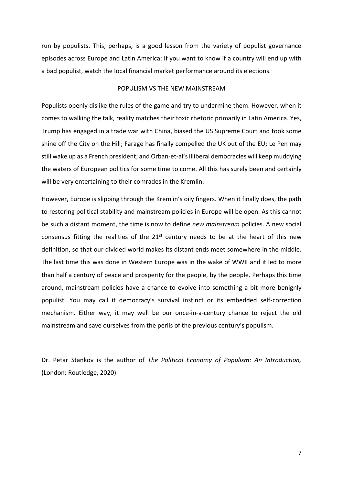run by populists. This, perhaps, is a good lesson from the variety of populist governance episodes across Europe and Latin America: If you want to know if a country will end up with a bad populist, watch the local financial market performance around its elections.

#### POPULISM VS THE NEW MAINSTREAM

Populists openly dislike the rules of the game and try to undermine them. However, when it comes to walking the talk, reality matches their toxic rhetoric primarily in Latin America. Yes, Trump has engaged in a trade war with China, biased the US Supreme Court and took some shine off the City on the Hill; Farage has finally compelled the UK out of the EU; Le Pen may still wake up as a French president; and Orban-et-al'silliberal democracies will keep muddying the waters of European politics for some time to come. All this has surely been and certainly will be very entertaining to their comrades in the Kremlin.

However, Europe is slipping through the Kremlin's oily fingers. When it finally does, the path to restoring political stability and mainstream policies in Europe will be open. As this cannot be such a distant moment, the time is now to define *new mainstream* policies. A new social consensus fitting the realities of the  $21<sup>st</sup>$  century needs to be at the heart of this new definition, so that our divided world makes its distant ends meet somewhere in the middle. The last time this was done in Western Europe was in the wake of WWII and it led to more than half a century of peace and prosperity for the people, by the people. Perhaps this time around, mainstream policies have a chance to evolve into something a bit more benignly populist. You may call it democracy's survival instinct or its embedded self-correction mechanism. Either way, it may well be our once-in-a-century chance to reject the old mainstream and save ourselves from the perils of the previous century's populism.

Dr. Petar Stankov is the author of *The Political Economy of Populism: An Introduction,*  (London: Routledge, 2020).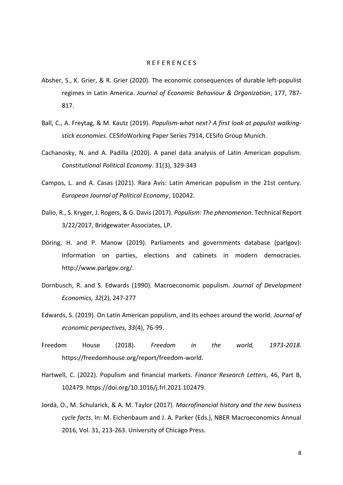#### R E F E R E N C E S

- Absher, S., K. Grier, & R. Grier (2020). The economic consequences of durable left-populist regimes in Latin America. *Journal of Economic Behaviour & Organization*, 177, 787- 817.
- Ball, C., A. Freytag, & M. Kautz (2019). *Populism-what next? A first look at populist walkingstick economies*. CESifoWorking Paper Series 7914, CESifo Group Munich.
- Cachanosky, N. and A. Padilla (2020). A panel data analysis of Latin American populism. *Constitutional Political Economy*. 31(3), 329-343
- Campos, L. and A. Casas (2021). Rara Avis: Latin American populism in the 21st century. *European Journal of Political Economy*, 102042.
- Dalio, R., S. Kryger, J. Rogers, & G. Davis (2017). *Populism: The phenomenon*. Technical Report 3/22/2017, Bridgewater Associates, LP.
- Döring, H. and P. Manow (2019). Parliaments and governments database (parlgov): Information on parties, elections and cabinets in modern democracies. http://www.parlgov.org/.
- Dornbusch, R. and S. Edwards (1990). Macroeconomic populism. *Journal of Development Economics, 32*(2), 247-277
- Edwards, S. (2019). On Latin American populism, and its echoes around the world. *Journal of economic perspectives, 33*(4), 76-99.
- Freedom House (2018). *Freedom in the world, 1973-2018*. https://freedomhouse.org/report/freedom-world.
- Hartwell, C. (2022). Populism and financial markets. *Finance Research Letters*, 46, Part B, 102479. https://doi.org/10.1016/j.frl.2021.102479.
- Jordà, O., M. Schularick, & A. M. Taylor (2017). *Macrofinancial history and the new business cycle facts*. In: M. Eichenbaum and J. A. Parker (Eds.), NBER Macroeconomics Annual 2016, Vol. 31, 213-263. University of Chicago Press.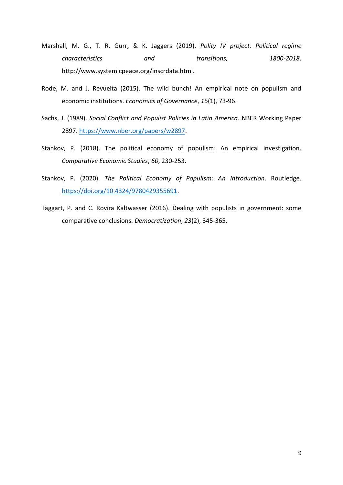- Marshall, M. G., T. R. Gurr, & K. Jaggers (2019). *Polity IV project. Political regime characteristics and transitions, 1800-2018*. http://www.systemicpeace.org/inscrdata.html.
- Rode, M. and J. Revuelta (2015). The wild bunch! An empirical note on populism and economic institutions. *Economics of Governance*, *16*(1), 73-96.
- Sachs, J. (1989). *Social Conflict and Populist Policies in Latin America*. NBER Working Paper 2897. [https://www.nber.org/papers/w2897.](https://www.nber.org/papers/w2897)
- Stankov, P. (2018). The political economy of populism: An empirical investigation. *Comparative Economic Studies*, *60*, 230-253.
- Stankov, P. (2020). *The Political Economy of Populism: An Introduction*. Routledge. [https://doi.org/10.4324/9780429355691.](https://doi.org/10.4324/9780429355691)
- Taggart, P. and C. Rovira Kaltwasser (2016). Dealing with populists in government: some comparative conclusions. *Democratization*, *23*(2), 345-365.